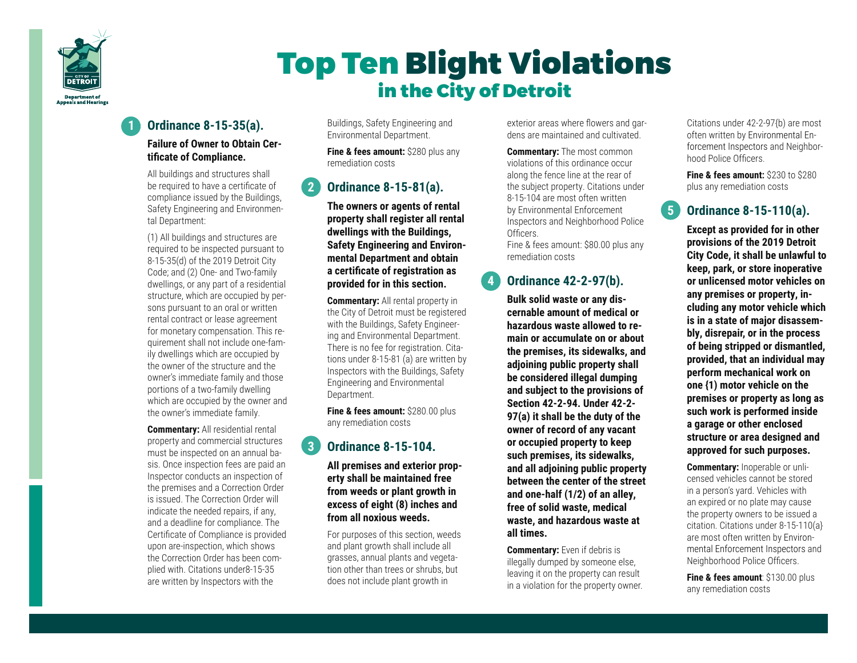

# Top Ten Blight Violations in the City of Detroit

# **1 Ordinance 8-15-35(a).**

#### **Failure of Owner to Obtain Certificate of Compliance.**

 All buildings and structures shall be required to have a certificate of compliance issued by the Buildings, Safety Engineering and Environmental Department:

 (1) All buildings and structures are required to be inspected pursuant to 8-15-35(d) of the 2019 Detroit City Code; and (2) One- and Two-family dwellings, or any part of a residential structure, which are occupied by persons pursuant to an oral or written rental contract or lease agreement for monetary compensation. This requirement shall not include one-family dwellings which are occupied by the owner of the structure and the owner's immediate family and those portions of a two-family dwelling which are occupied by the owner and the owner's immediate family.

 **Commentary:** All residential rental property and commercial structures must be inspected on an annual basis. Once inspection fees are paid an Inspector conducts an inspection of the premises and a Correction Order is issued. The Correction Order will indicate the needed repairs, if any, and a deadline for compliance. The Certificate of Compliance is provided upon are-inspection, which shows the Correction Order has been complied with. Citations under8-15-35 are written by Inspectors with the

Buildings, Safety Engineering and Environmental Department.

**Fine & fees amount:** \$280 plus any remediation costs

# **2 Ordinance 8-15-81(a).**

 **The owners or agents of rental property shall register all rental dwellings with the Buildings, Safety Engineering and Environmental Department and obtain a certificate of registration as provided for in this section.**

**Commentary:** All rental property in the City of Detroit must be registered with the Buildings, Safety Engineering and Environmental Department. There is no fee for registration. Citations under 8-15-81 (a) are written by Inspectors with the Buildings, Safety Engineering and Environmental Department.

**Fine & fees amount:** \$280.00 plus any remediation costs

# **3 Ordinance 8-15-104.**

**All premises and exterior property shall be maintained free from weeds or plant growth in excess of eight (8) inches and from all noxious weeds.** 

For purposes of this section, weeds and plant growth shall include all grasses, annual plants and vegetation other than trees or shrubs, but does not include plant growth in

exterior areas where flowers and gardens are maintained and cultivated.

**Commentary:** The most common violations of this ordinance occur along the fence line at the rear of the subject property. Citations under 8-15-104 are most often written by Environmental Enforcement Inspectors and Neighborhood Police Officers. Fine & fees amount: \$80.00 plus any remediation costs

# **4 Ordinance 42-2-97(b).**

**Bulk solid waste or any discernable amount of medical or hazardous waste allowed to remain or accumulate on or about the premises, its sidewalks, and adjoining public property shall be considered illegal dumping and subject to the provisions of Section 42-2-94. Under 42-2- 97(a) it shall be the duty of the owner of record of any vacant or occupied property to keep such premises, its sidewalks, and all adjoining public property between the center of the street and one-half (1/2) of an alley, free of solid waste, medical waste, and hazardous waste at all times.** 

**Commentary:** Even if debris is illegally dumped by someone else, leaving it on the property can result in a violation for the property owner. Citations under 42-2-97{b) are most often written by Environmental Enforcement Inspectors and Neighborhood Police Officers.

**Fine & fees amount:** \$230 to \$280 plus any remediation costs

# **5 Ordinance 8-15-110(a).**

 **Except as provided for in other provisions of the 2019 Detroit City Code, it shall be unlawful to keep, park, or store inoperative or unlicensed motor vehicles on any premises or property, including any motor vehicle which is in a state of major disassembly, disrepair, or in the process of being stripped or dismantled, provided, that an individual may perform mechanical work on one {1) motor vehicle on the premises or property as long as such work is performed inside a garage or other enclosed structure or area designed and approved for such purposes.**

 **Commentary:** Inoperable or unlicensed vehicles cannot be stored in a person's yard. Vehicles with an expired or no plate may cause the property owners to be issued a citation. Citations under 8-15-110(a} are most often written by Environmental Enforcement Inspectors and Neighborhood Police Officers.

**Fine & fees amount: \$130.00 plus** any remediation costs